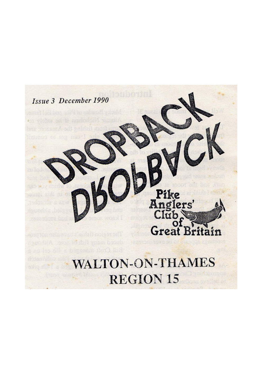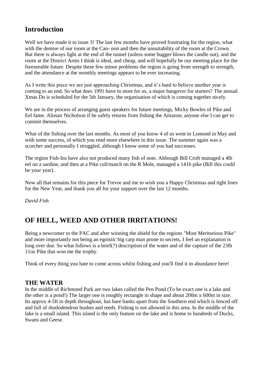## **Introduction**

Well we have made it to issue 3! The last few months have proved frustrating for the region, what with the demise of our room at the Can- non and then the unsuitability of the room at the Crown. But there is always light at the end of the tunnel (unless some bugger blows the candle out), and the room at the District Arms I think is ideal, and cheap, and will hopefully be our meeting place for the foreseeable future. Despite these few minor problems the region is going from strength to strength, and the attendance at the monthly meetings appears to be ever increasing.

As I write this piece we are just approaching Christmas, and it's hard to believe another year is coming to an end. So what does 1991 have in store for us, a major hangover for starters? The annual Xmas Do is scheduled for the 5th January, the organisation of which is coming together nicely.

We are in the process of arranging guest speakers for future meetings, Micky Bowles of Pike and Eel fame. Alistair Nicholson if he safely returns from fishing the Amazon; anyone else I can get to commit themselves.

What of the fishing over the last months. As most of you know 4 of us went to Lomond in May and with some success, of which you read more elsewhere in this issue. The summer again was a scorcher and personally I struggled, although I know some of you had successes.

The region Fish-Ins have also not produced many fish of note. Although Bill Croft managed a 4lb eel on a sardine, and then at a Pike cull/match on the R Mole, managed a 141b pike (Bill this could be your year).

Now all that remains for this piece for Trevor and me to wish you a Happy Christmas and tight lines for the New Year, and thank you all for your support over the last 12 months.

*David Fish*

# **OF HELL, WEED AND OTHER IRRITATIONS!**

Being a newcomer to the PAC and after winning the shield for the regions "Most Meritorious Pike" and more importantly not being an egoistic big carp man prone to secrets, I feel an explanation is long over due. So what follows is a brief(?) description of the water and of the capture of the 23lb 11oz Pike that won me the trophy.

Think of every thing you hate to come across whilst fishing and you'll find it in abundance here!

### **THE WATER**

In the middle of Richmond Park are two lakes called the Pen Pond (To be exact one is a lake and the other is a pond!) The larger one is roughly rectangle in shape and about 200m x 600m in size. Its approx 4-5ft in depth throughout, has bare banks apart from the Southern end which is fenced off and full of rhododendron bushes and reeds. Fishing is not allowed in this area. In the middle of the lake is a small island. This island is the only feature on the lake and is home to hundreds of Ducks, Swans and Geese.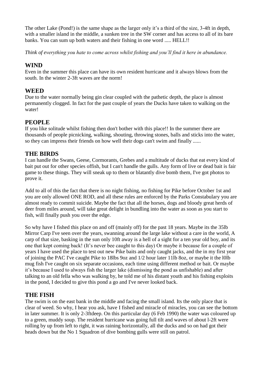The other Lake (Pond!) is the same shape as the larger only it's a third of the size, 3-4ft in depth, with a smaller island in the middle, a sunken tree in the SW corner and has access to all of its bare banks. You can sum up both waters and their fishing in one word ..... HELL!!

*Think of everything you hate to come across whilst fishing and you'll find it here in abundance.*

### **WIND**

Even in the summer this place can have its own resident hurricane and it always blows from the south. In the winter 2-3ft waves are the norm!

## **WEED**

Due to the water normally being gin clear coupled with the pathetic depth, the place is almost permanently clogged. In fact for the past couple of years the Ducks have taken to walking on the water!

## **PEOPLE**

If you like solitude whilst fishing then don't bother with this place!! In the summer there are thousands of people picnicking, walking, shouting, throwing stones, balls and sticks into the water, so they can impress their friends on how well their dogs can't swim and finally ......

### **THE BIRDS**

I can handle the Swans, Geese, Cormorants, Grebes and a multitude of ducks that eat every kind of bait put out for other species offish, but I can't handle the gulls. Any form of live or dead bait is fair game to these things. They will sneak up to them or blatantly dive bomb them, I've got photos to prove it.

Add to all of this the fact that there is no night fishing, no fishing for Pike before October 1st and you are only allowed ONE ROD, and all these rules are enforced by the Parks Constabulary you are almost ready to commit suicide. Maybe the fact that all the horses, dogs and bloody great herds of deer from miles around, will take great delight in bundling into the water as soon as you start to fish, will finally push you over the edge.

So why have I fished this place on and off (mainly off) for the past 18 years. Maybe its the 35lb Mirror Carp I've seen over the years, swanning around the large lake without a care in the world, A carp of that size, basking in the sun only 10ft away is a hell of a sight for a ten year old boy, and its one that kept coming back! (It's never bee caught to this day) Or maybe it because for a couple of years I have used the place to test out new Pike baits and only caught jacks, and the in my first year of joining the PAC I've caught Pike to 18lbs 9oz and 1/2 hour later 11lb 8oz, or maybe it the l0lb mug fish I've caught on six separate occasions, each time using different method or bait. Or maybe it's because I used to always fish the larger lake (dismissing the pond as unfishable) and after talking to an old fella who was walking by, he told me of his distant youth and his fishing exploits in the pond, I decided to give this pond a go and I've never looked back.

## **THE FISH**

The swim is on the east bank in the middle and facing the small island. Its the only place that is clear of weed. So why, I hear you ask, have I fished and miracle of miracles, you can see the bottom in later summer. It is only 2-3ftdeep. On this particular day (6 Feb 1990) the water was coloured up to a green, muddy soup. The resident hurricane was going full tilt and waves of about l-2ft were rolling by up from left to right, it was raining horizontally, all the ducks and so on had got their heads down but the No 1 Squadron of dive bombing gulls were still on patrol.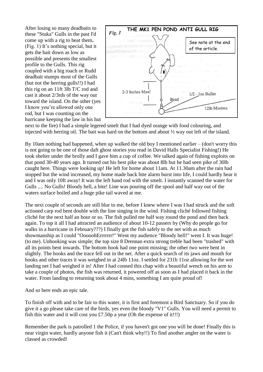After losing so many deadbaits to these "Stuka" Gulls in the past I'd come up with a rig to beat them**.**  (Fig. 1) It's nothing special, but it gets the bait down as low as possible and presents the smallest profile to the Gulls. This rig coupled with a big roach or Rudd deadbait stumps most of the Gulls (but not the herring gulls!!) I had this rig on an 11ft 3lb T/C rod and cast it about 2/3rds of the way out toward the island. On the other (yes I know you're allowed only one rod, but I was counting on the hurricane keeping the law in his hut



next to the fire) I had a simple legered smelt that I had dyed orange with food colouring, and injected with herring oil. The bait was hard on the bottom and about  $\frac{1}{2}$  way out left of the island.

By 10am nothing had happened, when up walked the old boy I mentioned earlier – (don't worry this is not going to be one of those daft ghost stories you read in David Halls Specialist Fishing!) He took shelter under the brolly and I gave him a cup of coffee. We talked again of fishing exploits on that pond 30-40 years ago. It turned out his best pike was about 8lb but he had seen pike of 30lb caught here. Things were looking up! He left for home about 11am. At 11.30am after the rain had stopped but the wind increased, my home made back bite alarm burst into life, I could hardly hear it and I was only 10ft away! It was the left hand rod with the smelt. I instantly scanned the water for Gulls .... No Gulls! Bloody hell, a bite! Line was pouring off the spool and half way out of the waters surface boiled and a huge pike tail waved at me.

The next couple of seconds are still blur to me, before I knew where I was I had struck and the soft actioned carp rod bent double with the line singing in the wind. Fishing cliché followed fishing cliché for the next half an hour or so. The fish pulled me half way round the pond and then back again. To top it all I had attracted an audience of about 10-12 passers by (Why do people go for walks in a hurricane in February???) I finally got the fish safely to the net with as much showmanship as I could "OoooohErrrrrrr!" Went my audience "Bloody hell!" went I. It was huge! (to me). Unhooking was simple; the top size 8 Drennan extra strong treble had been "trashed" with all its points bent inwards. The bottom hook had one point missing; the other two were bent in slightly. The hooks and the trace fell out in the net. After a quick search of its jaws and mouth for hooks and other traces it was weighed in at 24lb 11oz. I settled for 231b 11oz allowing for the wet landing net I had weighed it in! After I had conned this chap with a beautiful wench on his arm to take a couple of photos, the fish was returned, it powered off as soon as I had placed it back in the water. From landing to returning took about 4 mins, something I am quite proud of!

And so here ends an epic tale.

To finish off with and to be fair to this water, it is first and foremost a Bird Sanctuary. So if you do give it a go please take care of the birds, yes even the bloody "V1" Gulls. You will need a permit to fish this water and it will cost you  $£7.50p$  a year (Oh the expense of it!!!)

Remember the park is patrolled 1 the Police, if you haven't got one you will be done! Finally this is near virgin water, hardly anyone fish it (Can't think why!!) To find another angler on the water is classed as crowded!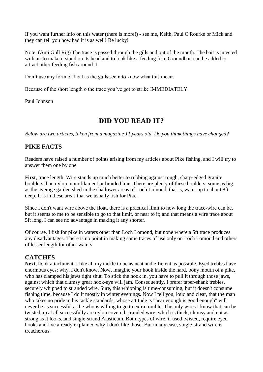If you want further info on this water (there is more!) - see me, Keith, Paul O'Rourke or Mick and they can tell you how bad it is as well! Be lucky!

Note: (Anti Gull Rig) The trace is passed through the gills and out of the mouth. The bait is injected with air to make it stand on its head and to look like a feeding fish. Groundbait can be added to attract other feeding fish around it.

Don't use any form of float as the gulls seem to know what this means

Because of the short length o the trace you've got to strike IMMEDIATELY.

Paul Johnson

## **DID YOU READ IT?**

*Below are two articles, taken from a magazine 11 years old. Do you think things have changed?*

## **PIKE FACTS**

Readers have raised a number of points arising from my articles about Pike fishing, and I will try to answer them one by one.

**First**, trace length. Wire stands up much better to rubbing against rough, sharp-edged granite boulders than nylon monofilament or braided line. There are plenty of these boulders; some as big as the average garden shed in the shallower areas of Loch Lomond, that is, water up to about 8ft deep. It is in these areas that we usually fish for Pike.

Since I don't want wire above the float, there is a practical limit to how long the trace-wire can be, but it seems to me to be sensible to go to that limit, or near to it; and that means a wire trace about 5ft long. I can see no advantage in making it any shorter.

Of course, I fish for pike in waters other than Loch Lomond, but none where a 5ft trace produces any disadvantages. There is no point in making some traces of use only on Loch Lomond and others of lesser length for other waters.

### **CATCHES**

**Next**, hook attachment. I like all my tackle to be as neat and efficient as possible. Eyed trebles have enormous eyes; why, I don't know. Now, imagine your hook inside the hard, bony mouth of a pike, who has clamped his jaws tight shut. To stick the hook in, you have to pull it through those jaws, against which that clumsy great hook-eye will jam. Consequently, I prefer taper-shank trebles, securely whipped to stranded wire. Sure, this whipping is time-consuming, but it doesn't consume fishing time, because I do it mostly in winter evenings. Now I tell you, loud and clear, that the man who takes no pride in his tackle standards; whose attitude is "near enough is good enough" will never be as successful as he who is willing to go to extra trouble. The only wires I know that can be twisted up at all successfully are nylon covered stranded wire, which is thick, clumsy and not as strong as it looks, and single-strand Alasticum. Both types of wire, if used twisted, require eyed hooks and I've already explained why I don't like those. But in any case, single-strand wire is treacherous.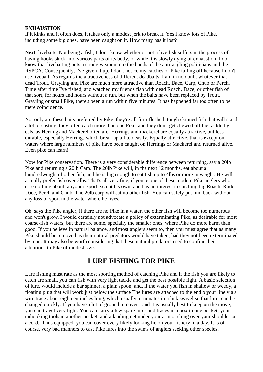#### **EXHAUSTION**

If it kinks and it often does, it takes only a modest jerk to break it. Yes I know lots of Pike, including some big ones, have been caught on it. How many has it lost?

**Next**, livebaits. Not being a fish, I don't know whether or not a live fish suffers in the process of having hooks stuck into various parts of its body, or while it is slowly dying of exhaustion. I do know that livebaiting puts a strong weapon into the hands of the anti-angling politicians and the RSPCA. Consequently, I've given it up. I don't notice my catches of Pike falling off because I don't use livebait. As regards the attractiveness of different deadbaits, I am in no doubt whatever that dead Trout, Grayling and Pike are much more attractive than Roach, Dace, Carp, Chub or Perch. Time after time I've fished, and watched my friends fish with dead Roach, Dace, or other fish of that sort, for hours and hours without a run, but when the baits have been replaced by Trout, Grayling or small Pike, there's been a run within five minutes. It has happened far too often to be mere coincidence.

Not only are these baits preferred by Pike; they're all firm-fleshed, tough skinned fish that will stand a lot of casting; they often catch more than one Pike, and they don't get chewed off the tackle by eels, as Herring and Mackerel often are. Herrings and mackerel are equally attractive, but less durable, especially Herrings which break up all too easily. Equally attractive, that is except on waters where large numbers of pike have been caught on Herrings or Mackerel and returned alive. Even pike can learn!

Now for Pike conservation. There is a very considerable difference between returning, say a 20lb Pike and returning a 20lb Carp. The 20lb Pike will, in the next 12 months, eat about a hundredweight of other fish, and he is big enough to eat fish up to 4lbs or more in weight. He will actually prefer fish over 2lbs. That's all very fine, if you're one of these modem Pike anglers who care nothing about, anyone's sport except his own, and has no interest in catching big Roach, Rudd, Dace, Perch and Chub. The 20lb carp will eat no other fish. You can safely put him back without any loss of sport in the water where he lives.

Oh, says the Pike angler, if there are no Pike in a water, the other fish will become too numerous and won't grow. I would certainly not advocate a policy of exterminating Pike, as desirable for most coarse-fish waters; but there are some, specially the smaller ones, where Pike do more harm than good. If you believe in natural balance, and most anglers seem to, then you must agree that as many Pike should be removed as their natural predators would have taken, had they not been exterminated by man. It may also be worth considering that these natural predators used to confine their attentions to Pike of modest size.

## **LURE FISHING FOR PIKE**

Lure fishing must rate as the most sporting method of catching Pike and if the fish you are likely to catch are small, you can fish with very light tackle and get the best possible fight. A basic selection of lure, would include a bar spinner, a plain spoon, and, if the water you fish in shallow or weedy, a floating plug that will work just below the surface The lures are attached to the end o your line via a wire trace about eighteen inches long, which usually terminates in a link swivel so that lure; can be changed quickly. If you have a lot of ground to cover - and it is usually best to keep on the move, you can travel very light. You can carry a few spare lures and traces in a box in one pocket, your unhooking tools in another pocket, and a landing net under your arm or slung over your shoulder on a cord. Thus equipped, you can cover every likely looking lie on your fishery in a day. It is of course, very bad manners to cast Pike lures into the swims of anglers seeking other species.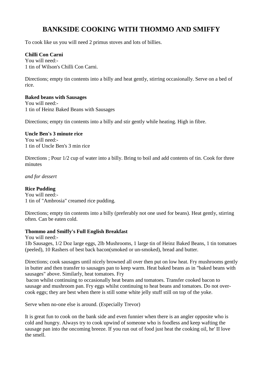# **BANKSIDE COOKING WITH THOMMO AND SMIFFY**

To cook like us you will need 2 primus stoves and lots of billies.

#### **Chilli Con Carni**

You will need:- 1 tin of Wilson's Chilli Con Carni.

Directions; empty tin contents into a billy and heat gently, stirring occasionally. Serve on a bed of rice.

#### **Baked beans with Sausages**

You will need:- 1 tin of Heinz Baked Beans with Sausages

Directions; empty tin contents into a billy and stir gently while heating. High in fibre.

#### **Uncle Ben's 3 minute rice**

You will need:- 1 tin of Uncle Ben's 3 min rice

Directions ; Pour 1/2 cup of water into a billy. Bring to boil and add contents of tin. Cook for three minutes

*and for dessert*

#### **Rice Pudding**

You will need:- 1 tin of "Ambrosia" creamed rice pudding.

Directions; empty tin contents into a billy (preferably not one used for beans). Heat gently, stirring often. Can be eaten cold.

#### **Thommo and Smiffy's Full English Breakfast**

You will need:- 1lb Sausages, 1/2 Doz large eggs, 2lb Mushrooms, 1 large tin of Heinz Baked Beans, 1 tin tomatoes (peeled), 10 Rashers of best back bacon(smoked or un-smoked), bread and butter.

Directions; cook sausages until nicely browned all over then put on low heat. Fry mushrooms gently in butter and then transfer to sausages pan to keep warm. Heat baked beans as in "baked beans with sausages" above. Similarly, heat tomatoes. Fry

bacon whilst continuing to occasionally heat beans and tomatoes. Transfer cooked bacon to sausage and mushroom pan. Fry eggs whilst continuing to heat beans and tomatoes. Do not overcook eggs; they are best when there is still some white jelly stuff still on top of the yoke.

Serve when no-one else is around. (Especially Trevor)

It is great fun to cook on the bank side and even funnier when there is an angler opposite who is cold and hungry. Always try to cook upwind of someone who is foodless and keep wafting the sausage pan into the oncoming breeze. If you run out of food just heat the cooking oil, he' II love the smell.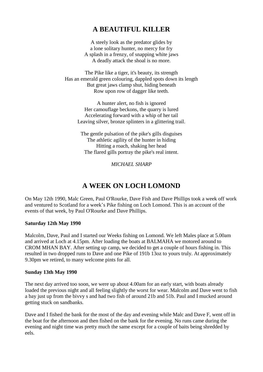# **A BEAUTIFUL KILLER**

A steely look as the predator glides by a lone solitary hunter, no mercy for fry A splash in a frenzy, of snapping white jaws A deadly attack the shoal is no more.

The Pike like a tiger, it's beauty, its strength Has an emerald green colouring, dappled spots down its length But great jaws clamp shut, hiding beneath Row upon row of dagger like teeth.

A hunter alert, no fish is ignored Her camouflage beckons, the quarry is lured Accelerating forward with a whip of her tail Leaving silver, bronze splinters in a glittering trail.

The gentle pulsation of the pike's gills disguises The athletic agility of the hunter in hiding Hitting a roach, shaking her head The flared gills portray the pike's real intent.

*MICHAEL SHARP*

# **A WEEK ON LOCH LOMOND**

On May 12th 1990, Malc Green, Paul O'Rourke, Dave Fish and Dave Phillips took a week off work and ventured to Scotland for a week's Pike fishing on Loch Lomond. This is an account of the events of that week, by Paul O'Rourke and Dave Phillips.

#### **Saturday 12th May 1990**

Malcolm, Dave, Paul and I started our Weeks fishing on Lomond. We left Males place at 5.00am and arrived at Loch at 4.15pm. After loading the boats at BALMAHA we motored around to CROM MHAN BAY. After setting up camp, we decided to get a couple of hours fishing in. This resulted in two dropped runs to Dave and one Pike of 191b 13oz to yours truly. At approximately 9.30pm we retired, to many welcome pints for all.

#### **Sunday 13th May 1990**

The next day arrived too soon, we were up about 4.00am for an early start, with boats already loaded the previous night and all feeling slightly the worst for wear. Malcolm and Dave went to fish a bay just up from the bivvy s and had two fish of around 21b and 51b. Paul and I mucked around getting stuck on sandbanks.

Dave and I fished the bank for the most of the day and evening while Malc and Dave F, went off in the boat for the afternoon and then fished on the bank for the evening. No runs came during the evening and night time was pretty much the same except for a couple of baits being shredded by eels.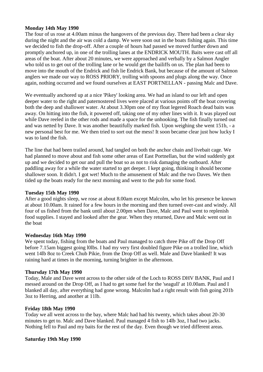#### **Monday 14th May 1990**

The four of us rose at 4.00am minus the hangovers of the previous day. There had been a clear sky during the night and the air was cold a damp. We were soon out in the boats fishing again. This time we decided to fish the drop-off. After a couple of hours had passed we moved further down and promptly anchored up, in one of the trolling lanes at the ENDRICK MOUTH. Baits were cast off all areas of the boat. After about 20 minutes, we were approached and verbally by a Salmon Angler who told us to get out of the trolling lane or he would get the bailiffs on us. The plan had been to move into the mouth of the Endrick and fish lie Endrick Bank, but because of the amount of Salmon anglers we made our way to ROSS PRIORY, trolling with spoons and plugs along the way. Once again, nothing occurred and we found ourselves at EAST PORTNELLAN - passing Malc and Dave.

We eventually anchored up at a nice 'Pikey' looking area. We had an island to our left and open deeper water to the right and paternostered lives were placed at various points off the boat covering both the deep and shallower water. At about 3.30pm one of my float legered Roach dead baits was away. On hitting into the fish, it powered off, taking one of my other lines with it. It was played out while Dave reeled in the other rods and made a space for the unhooking. The fish finally turned out and was netted by Dave. It was another beautifully marked fish. Upon weighing she went 151b, - a new personal best for me. We then tried to sort out the mess! It soon became clear just how lucky I was to land the fish.

The line that had been trailed around, had tangled on both the anchor chain and livebait cage. We had planned to move about and fish some other areas of East Portnellan, but the wind suddenly got up and we decided to get our and pull the boat so as not to risk damaging the outboard. After paddling away for a while the water started to get deeper. I kept going, thinking it should become shallower soon. It didn't. I got wet! Much to the amusement of Malc and the two Daves. We then tided up the boats ready for the next morning and went to the pub for some food.

#### **Tuesday 15th May 1990**

After a good nights sleep, we rose at about 8.00am except Malcolm, who let his presence be known at about 10.00am. It rained for a few hours in the morning and then turned over-cast and windy. All four of us fished from the bank until about 2.00pm when Dave, Malc and Paul went to replenish food supplies. I stayed and looked after the gear. When they returned, Dave and Malc went out in the boat

#### **Wednesday 16th May 1990**

We spent today, fishing from the boats and Paul managed to catch three Pike off the Drop Off before 7.15am biggest going l0lbs. I had my very first doubled figure Pike on a trolled line, which went 14lb 8oz to Creek Chub Pikie, from the Drop Off as well. Male and Dave blanked! It was raining hard at times in the morning, turning brighter in the afternoon.

#### **Thursday 17th May 1990**

Today, Male and Dave went across to the other side of the Loch to ROSS DHV BANK, Paul and I messed around on the Drop Off, as I had to get some fuel for the 'seagull' at 10.00am. Paul and I blanked all day, after everything had gone wrong. Malcolm had a right result with fish going 201b 3oz to Herring, and another at 11lb.

#### **Friday 18th May 1990**

Today we all went across to the bay, where Malc had had his twenty, which takes about 20-30 minutes to get to. Malc and Dave blanked. Paul managed 4 fish to 14lb 3oz, I had two jacks. Nothing fell to Paul and my baits for the rest of the day. Even though we tried different areas.

#### **Saturday 19th May 1990**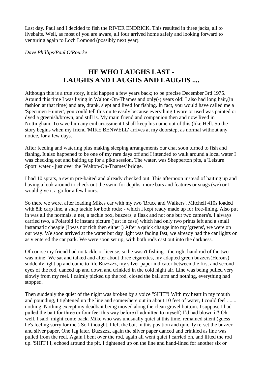Last day. Paul and I decided to fish the RIVER ENDRICK. This resulted in three jacks, all to livebaits. Well, as most of you are aware, all four arrived home safely and looking forward to venturing again to Loch Lomond (possibly next year).

*Dave Phillips/Paul O'Rourke*

# **HE WHO LAUGHS LAST - LAUGHS AND LAUGHS AND LAUGHS ....**

Although this is a true story, it did happen a few years back; to be precise December 3rd 1975. Around this time I was living in Walton-On-Thames and only(-) years old! I also had long hair,(in fashion at that time) and ate, drank, slept and lived for fishing. In fact, you would have called me a 'Specimen Hunter', you could tell this quite easily because everything I wore or used was painted or dyed a greenish/brown, and still is. My main friend and companion then and now lived in Nottingham. To save him any embarrassment I shall keep his name out of this (like Hell. So the story begins when my friend 'MIKE BENWELL' arrives at my doorstep, as normal without any notice, for a few days.

After feeding and watering plus making sleeping arrangements our chat soon turned to fish and fishing. It also happened to be one of my rare days off and I intended to walk around a local water I was checking out and baiting up for a pike session. The water, was Shepperton pits, a 'Leisure Sport' water - just over the 'Walton-On-Thames' bridge.

I had 10 sprats, a swim pre-baited and already checked out. This afternoon instead of baiting up and having a look around to check out the swim for depths, more bars and features or snags (we) or I would give it a go for a few hours.

So there we were, after loading Mikes car with my two 'Bruce and Walkers', Mitchell 410s loaded with 8lb carp line, a snap tackle for both rods; - which I kept ready made up for free-lining. Also put in was all the normals, a net, a tackle box, buzzers, a flask and not one but two camera's. I always carried two, a Polaroid fc instant picture (just in case) which had only two prints left and a small instamatic cheapie (I was not rich then either!) After a quick change into my 'greens', we were on our way. We soon arrived at the water but day light was fading fast, we already had the car lights on as v entered the car park. We were soon set up, with both rods cast out into the darkness.

Of course my friend had no tackle or license, so he wasn't fishing - the right hand rod of the two was mine! We sat and talked and after about three cigarettes, my adapted green buzzers(Herons) suddenly light up and come to life Buzzzzz, my silver paper indicator between the first and second eyes of the rod, danced up and down and crinkled in the cold night air. Line was being pulled very slowly from my reel. I calmly picked up the rod, closed the bail arm and nothing, everything had stopped.

Then suddenly the quiet of the night was broken by a voice "SHIT"! With my heart in my mouth and pounding, I tightened up the line and somewhere out in about 10 feet of water, I could feel ....... nothing. Nothing except my deadbait being moved along the clean gravel bottom. I suppose I had pulled the bait for three or four feet this way before (I admitted to myself) I'd had blown it'! Oh well, I said, might come back. Mike who was unusually quiet at this time, remained silent (guess he's feeling sorry for me.) So I thought. I left the bait in this position and quickly re-set the buzzer and silver paper. One fag later, Buzzzzz, again the silver paper danced and crinkled as line was pulled from the reel. Again I bent over the rod, again all went quiet I carried on, and lifted the rod up. 'SHIT'! I, echoed around the pit. I tightened up on the line and hand-lined for another six or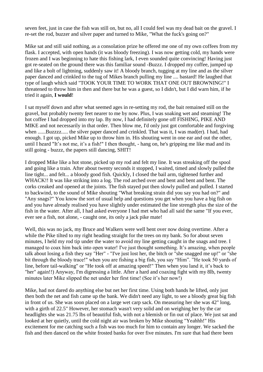seven feet, just in case the fish was still on, but no, all I could feel was my dead bait on the gravel. I re-set the rod, buzzer and silver paper and turned to Mike, "What the fuck's going on?"

Mike sat and still said nothing, as a consolation prize he offered me one of my own coffees from my flask. I accepted, with open hands (it was bloody freezing). I was now getting cold, my hands were frozen and I was beginning to hate this fishing lark, I even sounded quite convincing! Having just got re-seated on the ground there was this familiar sound -Buzzz. I dropped my coffee, jumped up and like a bolt of lightning, suddenly saw it! A bloody branch, tugging at my line and as the silver paper danced and crinkled to the tug of Mikes branch pulling my line .... bastard! He laughed that type of laugh which said "TOOK YOUR TIME TO WORK THAT ONE OUT BROWNING!" I threatened to throw him in then and there but he was a guest, so I didn't, but I did warn him, if he tried it again, **I would**!

I sat myself down and after what seemed ages in re-setting my rod, the bait remained still on the gravel, but probably twenty feet nearer to me by now. Plus, I was soaking wet and steaming! The hot coffee I had dropped into my lap. By now, I had definitely gone off FISHING, PIKE AND MIKE and not necessarily in that order. Then blow me, I'd only just got comfortable and forgiving when ......Buzzzz..... the silver paper danced and crinkled. That was it, I was mad(er). I had, had enough. I got up, picked Mike up to throw him in. His shouting went in one ear and out the other, until I heard "It's not me, it's a fish!" I then thought, - hang on, he's gripping me like mad and its still going - buzzz, the papers still dancing, SHIT!

I dropped Mike like a hot stone, picked up my rod and felt my line. It was streaking off the spool and going like a train. After about twenty seconds it stopped, I waited, timed and slowly pulled the line tight... and felt... a bloody good fish. Quickly, I closed the bail arm, tightened further and WHACK!! It was like striking into a log. The rod arched over and bent and bent and bent. The corks creaked and opened at the joints. The fish stayed put then slowly pulled and pulled. I started to backwind, to the sound of Mike shouting "What breaking strain did you say you had on?" and "Any snags?" You know the sort of usual help and questions you get when you have a big fish on and you have already realised you have slightly under estimated the line strength plus the size of the fish in the water. After all, I had asked everyone I had met who had all said the same "If you ever, ever see a fish, not alone, - caught one, its only a jack pike mate!

Well, this was no jack, my Bruce and Walkers were well bent over now doing overtime. After a while the Pike tilted to my right heading straight for the trees on my bank. So for about seven minutes, I held my rod tip under the water to avoid my line getting caught in the snags and tree. I managed to coax him back into open water! I've just thought something. It's amazing, when people talk about losing a fish they say "Her" - "I've just lost her, the bitch or "she snagged me up!" or "she bit through the bloody trace!" when you are fishing a big fish, you say "Him". "He took 50 yards of line, before tail-walking" or "He took off at amazing speed!" Then when you land it, it's back to "her" again!!) Anyway, I'm digressing a little. After a hard and coaxing fight with my 8lb, twenty minutes later Mike slipped the net under her first time! (See it's her now!)

Mike, had not dared do anything else but net her first time. Using both hands he lifted, only just then both the net and fish came up the bank. We didn't need any light, to see a bloody great big fish in front of us. She was soon placed on a large wet carp sack. On measuring her she was 42" long, with a girth of 22.5" However, her stomach wasn't very solid and on weighing her by the car headlights she was 21.75 lbs of beautiful fish, with not a blemish or fin out of place. We just sat and looked at her quietly, until the cold night air was broken by Mike shouting "Yeahhh!" His excitement for me catching such a fish was too much for him to contain any longer. We sacked the fish and then danced on the white frosted banks for over five minutes. I'm sure that had there been